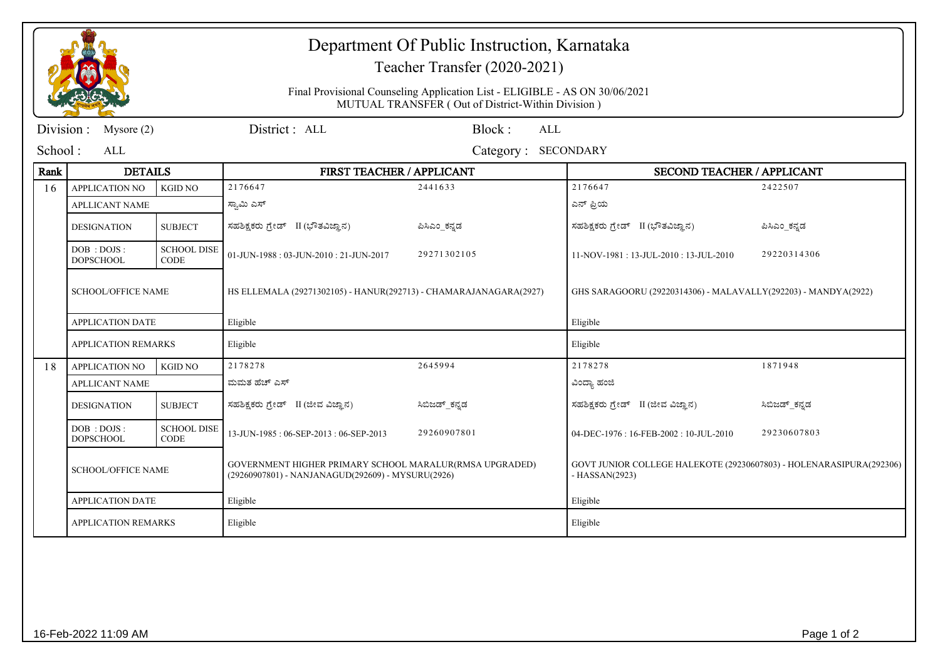|           |                                  |                                   | Department Of Public Instruction, Karnataka                                                                                                                      |               |                                                                                       |               |  |  |
|-----------|----------------------------------|-----------------------------------|------------------------------------------------------------------------------------------------------------------------------------------------------------------|---------------|---------------------------------------------------------------------------------------|---------------|--|--|
|           |                                  |                                   | Teacher Transfer (2020-2021)<br>Final Provisional Counseling Application List - ELIGIBLE - AS ON 30/06/2021<br>MUTUAL TRANSFER (Out of District-Within Division) |               |                                                                                       |               |  |  |
|           |                                  |                                   |                                                                                                                                                                  |               |                                                                                       |               |  |  |
| Division: | Mysore $(2)$                     |                                   | District: ALL<br>Block:<br>ALL                                                                                                                                   |               |                                                                                       |               |  |  |
| School:   | ALL                              |                                   | <b>SECONDARY</b><br>Category:                                                                                                                                    |               |                                                                                       |               |  |  |
| Rank      | <b>DETAILS</b>                   |                                   | FIRST TEACHER / APPLICANT                                                                                                                                        |               | <b>SECOND TEACHER / APPLICANT</b>                                                     |               |  |  |
| 16        | <b>APPLICATION NO</b>            | <b>KGID NO</b>                    | 2176647                                                                                                                                                          | 2441633       | 2176647                                                                               | 2422507       |  |  |
|           | APLLICANT NAME                   |                                   | ಸ್ವಾಮಿ ಎಸ್                                                                                                                                                       |               | ಎನ್ ಪ್ರಿಯ                                                                             |               |  |  |
|           | <b>DESIGNATION</b>               | <b>SUBJECT</b>                    | ಸಹಶಿಕ್ಷಕರು ಗ್ರೇಡ್ II (ಭೌತವಿಜ್ಞಾನ)                                                                                                                                | ಪಿಸಿಎಂ_ಕನ್ನಡ  | ಸಹಶಿಕ್ಷಕರು ಗ್ರೇಡ್ II (ಭೌತವಿಜ್ಞಾನ)                                                     | ಪಿಸಿಎಂ_ಕನ್ನಡ  |  |  |
|           | DOB : DOJS :<br><b>DOPSCHOOL</b> | <b>SCHOOL DISE</b><br><b>CODE</b> | 01-JUN-1988: 03-JUN-2010: 21-JUN-2017                                                                                                                            | 29271302105   | 11-NOV-1981: 13-JUL-2010: 13-JUL-2010                                                 | 29220314306   |  |  |
|           | <b>SCHOOL/OFFICE NAME</b>        |                                   | HS ELLEMALA (29271302105) - HANUR(292713) - CHAMARAJANAGARA(2927)                                                                                                |               | GHS SARAGOORU (29220314306) - MALAVALLY(292203) - MANDYA(2922)                        |               |  |  |
|           | <b>APPLICATION DATE</b>          |                                   | Eligible                                                                                                                                                         |               | Eligible                                                                              |               |  |  |
|           | <b>APPLICATION REMARKS</b>       |                                   | Eligible                                                                                                                                                         |               | Eligible                                                                              |               |  |  |
| 18        | <b>APPLICATION NO</b>            | <b>KGID NO</b>                    | 2178278                                                                                                                                                          | 2645994       | 2178278                                                                               | 1871948       |  |  |
|           | <b>APLLICANT NAME</b>            |                                   | ಮಮತ ಹೆಚ್ ಎಸ್                                                                                                                                                     |               | ವಿಂದ್ಯಾ ಹಂಜಿ                                                                          |               |  |  |
|           | <b>DESIGNATION</b>               | <b>SUBJECT</b>                    | ಸಹಶಿಕ್ಷಕರು ಗ್ರೇಡ್ II (ಜೀವ ವಿಜ್ಞಾನ)                                                                                                                               | ಸಿಬಿಜಡ್_ಕನ್ನಡ | ಸಹಶಿಕ್ಷಕರು ಗ್ರೇಡ್ II (ಜೀವ ವಿಜ್ಞಾನ)                                                    | ಸಿಬಿಜಡ್_ಕನ್ನಡ |  |  |
|           | DOB : DOJS :<br><b>DOPSCHOOL</b> | <b>SCHOOL DISE</b><br><b>CODE</b> | 13-JUN-1985: 06-SEP-2013: 06-SEP-2013                                                                                                                            | 29260907801   | 04-DEC-1976: 16-FEB-2002: 10-JUL-2010                                                 | 29230607803   |  |  |
|           | <b>SCHOOL/OFFICE NAME</b>        |                                   | GOVERNMENT HIGHER PRIMARY SCHOOL MARALUR(RMSA UPGRADED)<br>(29260907801) - NANJANAGUD(292609) - MYSURU(2926)                                                     |               | GOVT JUNIOR COLLEGE HALEKOTE (29230607803) - HOLENARASIPURA(292306)<br>- HASSAN(2923) |               |  |  |
|           | <b>APPLICATION DATE</b>          |                                   | Eligible                                                                                                                                                         |               | Eligible                                                                              |               |  |  |
|           | <b>APPLICATION REMARKS</b>       |                                   | Eligible                                                                                                                                                         |               | Eligible                                                                              |               |  |  |
|           |                                  |                                   |                                                                                                                                                                  |               |                                                                                       |               |  |  |

de

- 1